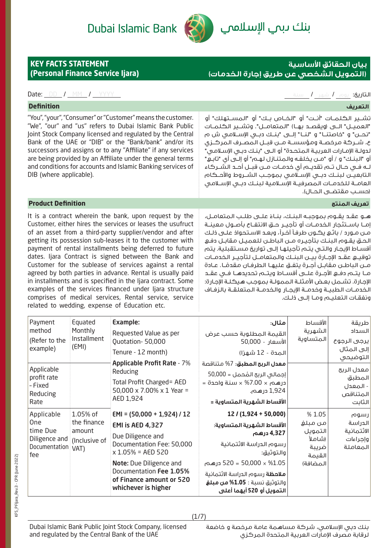# Dubai Islamic Bank



# بنك ىبم الإسلامي

## **بيان الحقائق األساسية )التمويل الشخصي عن طريق إجارة الخدمات(**

إمــا باســتئجار الخدمــات أو تأجيــر حــق االنتفــاع بأصــول معينــة مـن مـورد / بائـع يكـون طرفـا آخـرًا، وبعـد االسـتحواذ علـى ذلـك الحـق يقـوم البنـك بتأجيـره مـن الباطـن للعميـل مقابـل دفـع أقسـاط الإيجـار والتـي يتـم تأجيلهـا إلـى تواريخ مسـتقبلية. يتم توقيــع عقــد اإلجــارة بيــن البنــك والمتعامــل لتأجيــر الخدمــات ً مــن الباطــن مقابــل أجــرة يتفــق عليهــا الطرفــان مقدمــا. عــادة مــا يتــم دفــع األجــرة علــى أقســاط ويتــم تحديدهــا فــي عقــد اإلجـارة. تشـمل بعـض األمثلـة الممولـة بموجـب هيكلـة اإلجـارة: الخدمــات الطبيــة وخدمــة اإليجــار والخدمــة المتعلقــة بالزفــاف

ونفقـات التعليـم ومـا إلـى ذلـك.

# **KEY FACTS STATEMENT (Personal Finance Service Ijara)**

### التاريخ: يوم / شهر / سنة VYYY / WM / WYYY / WWW / WYYY / WWW / WYYY / WWW. 2010 / MM / WYYY / WWW. 2010 / Date:

| <b>Definition</b>                                                                                                                                                                                                                                                                                                                                                                                                                                                      | التعريف                                                                                                                                                                                                                                                                                                                                                                                                                                                                                                                                                                                                                                                                                  |
|------------------------------------------------------------------------------------------------------------------------------------------------------------------------------------------------------------------------------------------------------------------------------------------------------------------------------------------------------------------------------------------------------------------------------------------------------------------------|------------------------------------------------------------------------------------------------------------------------------------------------------------------------------------------------------------------------------------------------------------------------------------------------------------------------------------------------------------------------------------------------------------------------------------------------------------------------------------------------------------------------------------------------------------------------------------------------------------------------------------------------------------------------------------------|
| "You", "your", "Consumer" or "Customer" means the customer.<br>"We", "our" and "us" refers to Dubai Islamic Bank Public<br>Joint Stock Company licensed and regulated by the Central<br>Bank of the UAE or "DIB" or the "Bank/bank" and/or its<br>successors and assigns or to any "Affiliate" if any services<br>are being provided by an Affiliate under the general terms<br>and conditions for accounts and Islamic Banking services of<br>DIB (where applicable). | تشــير الـكـلمــات "أنــت" أو "الـخــاص بــك" أو "الـمســتهلك" أو<br>'العميــل" الـــى (ويقصــد بهــا) "الـمتعامــل". وتشــير الـكـلمــات<br>"نحــــن" و "خاصتنـــا" و "لنـــا" إلــــى "بنـــك دبـــى الإســـلامـى ش م<br>ع، شــركة مرخصـة ومؤسسـة مــن قبــل المصـرف المركــزى<br>ـدولــة الإمــارات الـعربيــة الـمـتحــدة" أو الـــى "بـنــك دبــى الإســلامــى"<br>و "البنـك" و / أو "مــن يخلفـه والـمتنـازل لـهـم" أو إلــى أى "تابـع"<br>ــه فــى حــال تـــم تقديـــم أى خدمـــات مـــن قبـــل أحــد الشـــركاء<br>لتابعيــن لبنــك دبــى الإســلامـى بموجــب الشــروط والأحــكام<br>لعامــة للخدمــات المصرفيــة الإســلامية لبنــك دبــى الإســلامـى<br>(حسـب مقتضـى الحـال). |
| <b>Product Definition</b>                                                                                                                                                                                                                                                                                                                                                                                                                                              | تعريف المنتج                                                                                                                                                                                                                                                                                                                                                                                                                                                                                                                                                                                                                                                                             |
| It is a contract wherein the bank, upon request by the                                                                                                                                                                                                                                                                                                                                                                                                                 | هـو عقـد يقـوم بموجبـه البنـك، بنـاءً علــى طلـب المتعامـل،                                                                                                                                                                                                                                                                                                                                                                                                                                                                                                                                                                                                                              |

Customer, either hires the services or leases the usufruct of an asset from a third-party supplier/vendor and after getting its possession sub-leases it to the customer with payment of rental installments being deferred to future dates. Ijara Contract is signed between the Bank and Customer for the sublease of services against a rental agreed by both parties in advance. Rental is usually paid in installments and is specified in the Ijara contract. Some examples of the services financed under liara structure comprises of medical services, Rental service, service related to wedding, expense of Education etc.

| Payment<br>method<br>(Refer to the<br>example)                                | Equated<br>Monthly<br>Installment<br>(EMI)                 | Example:<br>Requested Value as per<br>Quotation-50,000<br>Tenure - 12 month)                                                                                                                                                         | مثال:<br>القيمة المطلوبة حسب عرض<br>الأسعار - 50,000<br>المدة - 12 شهرًا)                                                                                                                                                                              | الأقساط<br>الشهرية<br>المتساوية                                       | طريقة<br>السداد<br>يرجى الرجوع<br>إلى المثال<br>التوضيحي |
|-------------------------------------------------------------------------------|------------------------------------------------------------|--------------------------------------------------------------------------------------------------------------------------------------------------------------------------------------------------------------------------------------|--------------------------------------------------------------------------------------------------------------------------------------------------------------------------------------------------------------------------------------------------------|-----------------------------------------------------------------------|----------------------------------------------------------|
| Applicable<br>profit rate<br>- Fixed<br>Reducing<br>Rate                      |                                                            | <b>Applicable Profit Rate - 7%</b><br>Reducing<br>Total Profit Charged= AED<br>50,000 x 7.00% x 1 Year =<br>AED 1,924                                                                                                                | <b>معدل الربح المطبق:</b> 7% متناقصة<br> إجمالۍ الربح المُحمل = 50,000<br>$=$ 10.00 $\times$ 7.00 $\times$ سنة واحدة =<br>1,924 درهـم.<br> الأقساط الشهرية المتساوية =                                                                                 |                                                                       | معدل الربح<br>المطبق<br>- المعدل<br>المتناقص<br>الثابت   |
| Applicable<br><b>One</b><br>time Due<br>Diligence and<br>Documentation<br>fee | 1.05% of<br>the finance<br>amount<br>(Inclusive of<br>VAT) | $EMI = (50,000 + 1,924) / 12$<br>EMI is AED 4,327<br>Due Diligence and<br>Documentation Fee: 50,000<br>$x 1.05\% = AED 520$<br>Note: Due Diligence and<br>Documentation Fee 1.05%<br>of Finance amount or 520<br>whichever is higher | $12 / (1,924 + 50,000)$<br>الأقساط الشهرية المتساوية:<br>4,327 درهم<br>رسوم الدراسة الائتمانية<br>والتوثيق:<br>1.05% × 50,000 = 520 درهم<br><b>ملاحظة</b> رسوم الدراسة الائتمانية<br>والتوثيق نسبة : <b>1.05% من مبلغ</b><br>التمويل أو 520 أيهما أعلى | %1.05<br>من مبلغ<br>التمويل<br>(شاملاً<br>ضريبة<br>القيمة<br>المضافة) | رسوم<br>الدراسة<br>الائتمانية<br>وإجراءات<br>المعاملة    |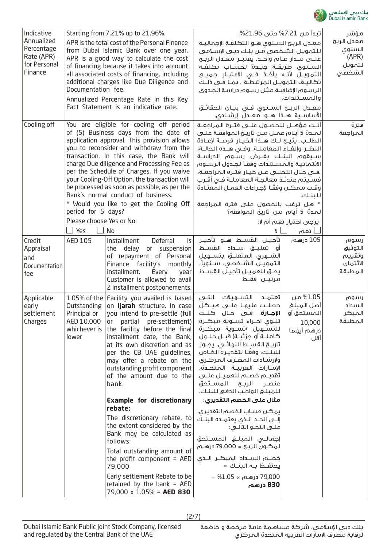

| Indicative<br>Annualized<br>Percentage<br>Rate (APR)<br>for Personal<br>Finance | Starting from 7.21% up to 21.96%.<br>APR is the total cost of the Personal Finance<br>from Dubai Islamic Bank over one year.<br>APR is a good way to calculate the cost<br>of financing because it takes into account<br>all associated costs of financing, including<br>additional charges like Due Diligence and<br>Documentation fee.<br>Annualized Percentage Rate in this Key<br>Fact Statement is an indicative rate.                                                                                                                                                          |                                                                                                                                                                                                                                                                                                                                                                                | تبدأ من 7.21% حتى 21.96%.<br>معدل الربح السنوى هـو التكلفـة الإجماليـة<br>للتمويـل الشـخصي مـن بنـك دبـى الإسـلامـى<br>السـنـوى طريقــة جيــدة لحســاب تكـلفــة<br>التمويــل لأنــه يأخــف فــى الاعتبــار جميــع<br>تكاليـف التمويـل المرتبطـة ، بمـا فـى ذلـك<br>الرسوم الإضافية مثل رسوم دراسة الجدوى<br>والمسـتندات.<br>معــدل الربــح الـســنـوي فــي بيــان الـحقائــق                                                                                                                                                 |                                                                     | مؤشر<br>معدل الربح<br>السنوى<br>(APR)<br>لتمويل<br>الشخصى |
|---------------------------------------------------------------------------------|--------------------------------------------------------------------------------------------------------------------------------------------------------------------------------------------------------------------------------------------------------------------------------------------------------------------------------------------------------------------------------------------------------------------------------------------------------------------------------------------------------------------------------------------------------------------------------------|--------------------------------------------------------------------------------------------------------------------------------------------------------------------------------------------------------------------------------------------------------------------------------------------------------------------------------------------------------------------------------|------------------------------------------------------------------------------------------------------------------------------------------------------------------------------------------------------------------------------------------------------------------------------------------------------------------------------------------------------------------------------------------------------------------------------------------------------------------------------------------------------------------------------|---------------------------------------------------------------------|-----------------------------------------------------------|
| Cooling off                                                                     | You are eligible for cooling off period<br>of (5) Business days from the date of<br>application approval. This provision allows<br>you to reconsider and withdraw from the<br>transaction. In this case, the Bank will<br>charge Due diligence and Processing Fee as<br>per the Schedule of Charges. If you waive<br>your Cooling-Off Option, the transaction will<br>be processed as soon as possible, as per the<br>Bank's normal conduct of business.<br>* Would you like to get the Cooling Off<br>period for 5 days?<br>Please choose Yes or No:<br>Yes<br>$\blacksquare$<br>No |                                                                                                                                                                                                                                                                                                                                                                                | أنـت مؤهــل للحصــول علـــى فتــرة المراجعــة<br>لمـدة 5 أيـام عمـل مــن تاريــخ الموافقــة علــى<br>النظـر وإلغـاء المعاملــة. وفـي هــذه الحالــة،<br>ســيقوم البنــك بفــرض رســوم الـدراســة<br>الائتمانية والمستندات وفقأ لجدول الرسوم<br>في حـال التخلــي عــن خيــار فتــرة الـمراجعــة،<br>فسـيتم عندئـذ معالجـة المعاملـة فـى أقـرب<br>وقت ممكن وفقًا لإجراءات العمـل المعتـادة<br>للبنك.<br>* هل ترغب بالحصول على فترة المراجعة<br>لـمـدة 5 أيام مـن تاريغ الـمـوافقة؟<br>يرجى اختيار نعم أم لا:<br>V l<br>ــا نعم |                                                                     | فترة<br>المراجعة                                          |
| Credit<br>Appraisal<br>and<br>Documentation<br>fee                              | AED 105                                                                                                                                                                                                                                                                                                                                                                                                                                                                                                                                                                              | is<br>Installment<br>Deferral<br>delay or suspension<br>the<br>of repayment of Personal<br>Finance facility's<br>monthly<br>installment.<br>Every<br>year<br>Customer is allowed to avail<br>2 installment postponements.                                                                                                                                                      | تأجيــل القســـط هـــو تأخيــر<br>أو تعليـــق ســـــداد الـقســـط<br>الشـــهرى الـمتعلــــق بتســــهيل<br>التمويــل الشـــخصى. ســنـويأ،<br>يحـق للعميـل تأجيـل القسـط<br>مرتيــن فقــط                                                                                                                                                                                                                                                                                                                                      | 105 درهـم                                                           | رسوم<br>التوثيق<br>وتقييم<br>الائتمان<br>المطبقة          |
| Applicable<br>early<br>settlement<br>Charges                                    | Outstanding<br>Principal or<br>AED 10,000<br>whichever is<br>lower                                                                                                                                                                                                                                                                                                                                                                                                                                                                                                                   | 1.05% of the   Facility you availed is based  <br>on ljarah structure. In case<br>you intend to pre-settle (full<br>or partial pre-settlement)<br>the facility before the final<br>installment date, the Bank,<br>at its own discretion and as<br>per the CB UAE guidelines,<br>may offer a rebate on the<br>outstanding profit component<br>of the amount due to the<br>bank. | التســـهـيلات التـــى<br>تعتمـد<br>حصلـت عليهـا علــى هـيـكل<br><b>الإجـارة</b> . فــى حـال كنــت<br>تنـــوى اجـــراء تســــوية مـبـكـــرة<br>للتســـهيل (تســـوية مبكـــرة<br>كاملــة أو جزئيــة) قبــل حلــول<br>تاريـــخ الـقســـط الـنـهائـــى، يجـــوز<br>للبنـك، وفقَـا لتقديـره الخـاص<br>ولإرشادات المصرف المركزى<br>الإمـــارات الـعربيـــة الـمتحـــدة،<br>تقديــم خصـــم للعميــل علـــى<br>للمبلغ الواجب الدفع للبنك.                                                                                            | 1.05% من<br>أصل المبلغ<br>المستحق أو<br>10,000<br>درهم أيهما<br>آقل | رسوم<br>السداد<br> المبكر<br>المطبقة                      |
|                                                                                 |                                                                                                                                                                                                                                                                                                                                                                                                                                                                                                                                                                                      | <b>Example for discretionary</b><br>rebate:<br>The discretionary rebate, to<br>the extent considered by the<br>Bank may be calculated as<br>follows:<br>Total outstanding amount of<br>the profit component = $AED$<br>79,000<br>Early settlement Rebate to be<br>retained by the bank = $AED$<br>79,000 x 1.05% = <b>AED 830</b>                                              | مثال على الخصم التقديري:<br>يمكن حساب الخصم التقديرى،<br>علـــى النحــو التالـــى:<br>لمكـون الربـح = 79.000 درهــم<br>خصـــم الـســــداد الــمبـكـــر الـــذى<br>830 درهم                                                                                                                                                                                                                                                                                                                                                   |                                                                     |                                                           |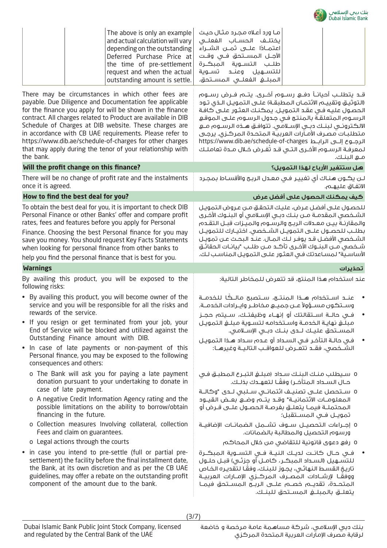

مـع البنـك.

قــد يتطلــب أحيانــا دفــع رســوم أخــرى. يتــم فــرض رســوم )التوثيـق وتقييـم االئتمـان المطبقـة( علـى التمويـل الـذي تـود الحصـول عليـه فـي عقـد التمويـل. يمكنـك العثـور علـى كافـة الرسـوم المتعلقـة بالمنتـج فـي جـدول الرسـوم علـى الموقـع االلكترونــي لبنــك دبــي اإلســامي. تتوافــق هــذه الرســوم مــع متطلبـات مصـرف األمـارات العربيـة المتحـدة المركـزي. يرجـى https://www.dib.ae/schedule-of-charges الرابــط إلــى الرجــوع لمعرفـة الرســوم الأخـرى الـتـي قــد تفـرض خـلال مــدة تعامـلـك

| $^{\shortmid}$ The above is only an example $\mid$ حدد مثال حيث $\mid$<br>$\,$ and actual calculation will vary $\, \,$ ایختلـف $\,$ الـمسـاب الـفعلــی $\,$<br>$\mid$ depending on the outstanding $\mid$ اعتمــادًا عـلـــــى ثمــــن الــشــــراء $\mid$                                                                        |  |  |
|------------------------------------------------------------------------------------------------------------------------------------------------------------------------------------------------------------------------------------------------------------------------------------------------------------------------------------|--|--|
| $\,$ الآجــل المســتحق فــى وقــت $\,$ Deferred Purchase Price at $\,$<br>$^{\shortmid}$ the time of pre-settlement $\mid$ طلـب التســوية المبكــرة<br>$\vdash$ request and when the actual $\mid$ اللتســـهـيل    وعنـــد    تســـوية    [<br>$\mid$ outstanding amount is settle. $\mid$ المبلـــفي الفعلـــي المســـتحق. $\mid$ |  |  |

There may be circumstances in which other fees are payable. Due Diligence and Documentation fee applicable for the finance you apply for will be shown in the finance contract. All charges related to Product are available in DIB Schedule of Charges at DIB website. These charges are in accordance with CB UAE requirements. Please refer to https://www.dib.ae/schedule-of-charges for other charges that may apply during the tenor of your relationship with the bank.

| Will the profit change on this finance?                                                                                                                                                                                                                                                                                                                                                                                                                                                                                                                                                                                                                                                                    | هل ستتفير الأرباح لهذا التمويل؟                                                                                                                                                                                                                                                                                                                                                                                                                                                                                                                                                                                                                                                                                                                                                                                                       |
|------------------------------------------------------------------------------------------------------------------------------------------------------------------------------------------------------------------------------------------------------------------------------------------------------------------------------------------------------------------------------------------------------------------------------------------------------------------------------------------------------------------------------------------------------------------------------------------------------------------------------------------------------------------------------------------------------------|---------------------------------------------------------------------------------------------------------------------------------------------------------------------------------------------------------------------------------------------------------------------------------------------------------------------------------------------------------------------------------------------------------------------------------------------------------------------------------------------------------------------------------------------------------------------------------------------------------------------------------------------------------------------------------------------------------------------------------------------------------------------------------------------------------------------------------------|
| There will be no change of profit rate and the instalments<br>once it is agreed.                                                                                                                                                                                                                                                                                                                                                                                                                                                                                                                                                                                                                           | لـن يكــون هـنـاك أى تغييـر فـى معـدل الربـح والأقسـاط بمجـرد<br>الاتفاق عليهـم.                                                                                                                                                                                                                                                                                                                                                                                                                                                                                                                                                                                                                                                                                                                                                      |
| How to find the best deal for you?                                                                                                                                                                                                                                                                                                                                                                                                                                                                                                                                                                                                                                                                         | كيف يمكنك الحصول على أفضل عرض                                                                                                                                                                                                                                                                                                                                                                                                                                                                                                                                                                                                                                                                                                                                                                                                         |
| To obtain the best deal for you, it is important to check DIB<br>Personal Finance or other Banks' offer and compare profit<br>rates, fees and features before you apply for Personal<br>Finance. Choosing the best Personal finance for you may<br>save you money. You should request Key Facts Statements<br>when looking for personal finance from other banks to<br>help you find the personal finance that is best for you.                                                                                                                                                                                                                                                                            | للحصول علـى أفضل عـرض، عليك التحقـق مـن عـروض التمويـل<br>الشــخصى المقدمــة مــن بنــك دبــى الإســلامـى أو الـبنــوك الأخـرى<br>والمقارنـةٌ بيـن معـدلات الربـح والرسـوم والميـزات قبـل التقـدم<br>بطلب للحصول علـى التمويـل الشـخصى. اختيـارك للتمويـل<br>الشــخصي الأفضـل قـد يوفـر لـك الـمـال. عنـد البحـث عـن تمويـل<br>شـخصى مــن البنــوك الأخـرى تأكــد مــن طلــب "بيانـات الحقائـق<br>الأساسية" لمساعدتك فى العثور على التمويل المناسب لك.                                                                                                                                                                                                                                                                                                                                                                                |
| <b>Warnings</b>                                                                                                                                                                                                                                                                                                                                                                                                                                                                                                                                                                                                                                                                                            | تحذيرات                                                                                                                                                                                                                                                                                                                                                                                                                                                                                                                                                                                                                                                                                                                                                                                                                               |
| By availing this product, you will be exposed to the<br>following risks:                                                                                                                                                                                                                                                                                                                                                                                                                                                                                                                                                                                                                                   | عند استخدام هذا المنتج، قد تتعرض للمخاطر التالية:                                                                                                                                                                                                                                                                                                                                                                                                                                                                                                                                                                                                                                                                                                                                                                                     |
| • By availing this product, you will become owner of the<br>service and you will be responsible for all the risks and<br>rewards of the service.<br>. If you resign or get terminated from your job, your<br>End of Service will be blocked and utilized against the<br>Outstanding Finance amount with DIB.<br>. In case of late payments or non-payment of this<br>Personal finance, you may be exposed to the following<br>consequences and others:                                                                                                                                                                                                                                                     | عنــد اســتخدام هـــذا الـمنتـــع، ســتصبح مالـــكَـا للـخدمـــة<br>وسـتكون مسـؤولاً عـن جميـع مخاطـر وايـرادات الخدمـة.<br>فـي حالــة اســـتقالتك أو إنهــاء وظيفتــك، ســـيتم حجــز<br>مبلغ نهاية الخدمـة واسـتخدامه لتسـوية مبلـغ التمويـل<br>المسـتحق عليـك لـدى بنـك دبـى الإسـلامـى.<br>فـي حالــة الـتأخـر فـي الـســداد أو عــدم ســداد هــذا الـتمويـل<br>الشّــفصى، فقــد تتعّــرض للعواقـب التاليــة وغيرهــا:                                                                                                                                                                                                                                                                                                                                                                                                             |
| o The Bank will ask you for paying a late payment<br>donation pursuant to your undertaking to donate in<br>case of late payment.<br>o A negative Credit Information Agency rating and the<br>possible limitations on the ability to borrow/obtain<br>financing in the future.<br>o Collection measures Involving collateral, collection<br>Fees and claim on guarantees.<br>o Legal actions through the courts<br>• in case you intend to pre-settle (full or partial pre-<br>settlement) the facility before the final installment date,<br>the Bank, at its own discretion and as per the CB UAE<br>guidelines, may offer a rebate on the outstanding profit<br>component of the amount due to the bank. | 0 سيطلب منك البنك سداد (مبلغ التبرع المطبق فى<br>حـال السـداد المتأخـر) وفقًـا لتعهـدك بذلـك.<br>0 سـتحصل علـــى تصنيــف ائتمانــى ســلبـى لــدى "وكالــة<br>المعلومــات الائتمانيــة" وقــد يتـــم وضــع بعــض القيــود<br>المحتملـة فيمـا يتعلـق بفرصـة الحصـول علــى قـرض أو<br>تمويــل فــى الـمســتقبل؛<br>0 إجــراءات التحصيـــل ســـوف تشـــمل الضمانــات الإضافيــة<br>ورسوم التحصيل والمطالبة بالضمائات.<br>0 رفع دعوى قانونية للتقاضى من خلال المحاكم<br>فـي حـال كانـت لـديـك النيــة فـي التســوية الـمبكــرة<br>للتسهيل (السـداد المبكـر ، كامـل أو جزئـي) قبـل حلـول<br>تاريخ القسط النهائى، يجوز للبنك، وفقًا لتقديره الخاص<br>ووفقًــا  اإرشـــادات  الـمـصـــرف  المـركـــزى  الإمـــارات  الـعـربيـــة<br>المتحــدة، تقديـــم خصـــم علـــى الـربـــع الـمســتحق فيمــا<br>يتعلـــق بالمبلــــغ المســـتحق للبنــك. |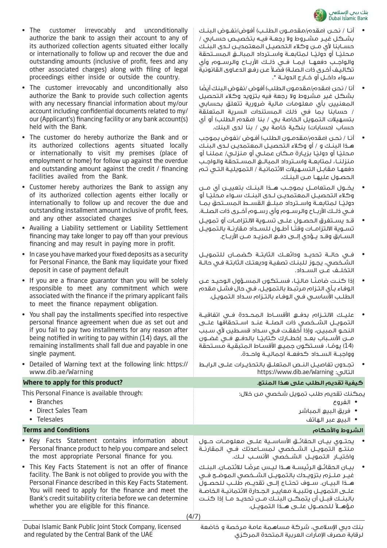

- أنــا / نحــن )مقدم/مقدمــون الطلــب( أفوض/نفــوض البنــك بشــكل غيــر مشــروط وال رجعــة فيــه بتخصيــص حســابي / حســابنا ألي مــن وكالء التحصيــل المعتمديــن لــدى البنــك مـحليـًـا أو دوليـًـا لـمـتابعــة واســترداد الـمبالـــغ الـمســتحقة والواجــب دفعهــا )بمــا فــي ذلــك األربــاح والرســوم وأي تكاليـف أخـرى ذات الصلـة) فضـلاً عـن رفـع الدعـاوى القانونية ســواء داخــل أو خــارج الدولــة ".
- أنا / نحن (مقده/مقدمون الطلب) أفوض /نفوض البنك أيضًا بشكل غير مشروط وال رجعة فيه بتزويد وكالء التحصيل المعنيين بأي معلومات مالية ضرورية تتعلق بحسابي / حسابنا بما في ذلك المستندات السرية المتعلقة بتسهيلات التمويل الخاصة بي / بنا (مقدم الطلب) أو أي حساب (حسابات) بنكية خاصة بي / بنا لدى البنك.
- أنـا / نحـن (مقده/مقدمـون الطلب) أفـوض /نفوض بموجب هـذا البنـك و / أو وكالء التحصيـل المعتمديـن لـدى البنـك مـحليًـا أو دوليًـا بزيـارة مـكان عملـي أو منزلـي/ عملنـا أو منزلنــا، لمتابعــة واســترداد المبالــغ المســتحقة والواجــب دفعهـا مقابـل التسـهيالت االئتمانيـة / التمويليـة التـي تـم الحصـول عليهـا مـن البنـك.
- يخــول المتعامــل بموجــب هــذا البنــك بتعييــن أي مــن وكلاء التحصيــل الـمعتمديــن لــدى البنــك ســواء محليًــا آو دوليًــا لمتابعــة واســترداد مبلــغ القســط المســتحق بمــا فــي ذلــك األربــاح والرســوم وأي رســوم أخــرى ذات الصلــة.
- قــد يســتغرق الحصــول علــى تســوية االلتزامــات أو تمويــل تســوية الالتزامــات وقتــا أطــول للســداد مقارنــة بالتمويــل الســابق وقــد يــؤدي إلــى دفــع المزيــد مــن األربــاح.
- In case you have marked your fixed deposits as a security for Personal Finance, the Bank may liquidate your fixed • فــي حالــة تحديــد ودائعــك الثابتــة كضمــان للتمويــل الشـخصي، يجـوز للبنـك تصفيـة وديعتـك الثابتـة فـي حالـة التخلــف عــن الســداد. • If you are a finance guarantor than you will be solely responsible to meet any commitment which were associated with the finance if the primary applicant fails • إذا كنــتٍ ضامنًــا ماليًـا، فســتكون المســؤول الوحيــد عــن الوفـاء بـأي التـزام مرتبـط بالتمويـل، فـي حال فشـل مقدم الطلـب األساسـي فـي الوفـاء بالتـزام سـداد التمويـل. • You shall pay the installments specified into respective personal finance agreement when due as set out and if you fail to pay two installments for any reason after being notified in writing to pay within (14) days, all the remaining installments shall fall due and payable in one • عليــك االلتــزام بدفــع األقســاط المحــددة فــي اتفاقيــة التمويــل الشــخصي ذات الصلــة عنــد اســتحقاقها علــى النحـو المبيـن، وإذا أخفقـت فـي سـداد قسـطين ألي سـبب ًــا بالدفــع فــي غضــون مــن األســباب بعــد إخطــارك كتابي (14) يومًـا، فسـتكون جميـع الأقسـاط المتبقيـة مسـتحقة وواجبــة الســداد كدفعــة اجماليــة واحــدة. • Detailed of Warning text at the following link: https:// • تجــدون تفاصيــل النــص المتعلــق بالتحذيــرات علــى الرابــط https://www.dib.ae/Warning :التالي **كيفية تقديم الطلب على هذا المنتج. ?product this for apply to Where**

This Personal Finance is available through:

• Branches • Direct Sales Team

www.dib.ae/Warning

single payment.

- 
- Telesales

**Terms and Conditions واألحكام الشروط**

• Key Facts Statement contains information about Personal finance product to help you compare and select the most appropriate Personal finance for you.

• The customer irrevocably and unconditionally authorize the bank to assign their account to any of its authorized collection agents situated either locally or internationally to follow up and recover the due and outstanding amounts (inclusive of profit, fees and any other associated charges) along with filing of legal proceedings either inside or outside the country.

• The customer irrevocably and unconditionally also authorize the Bank to provide such collection agents with any necessary financial information about my/our account including confidential documents related to my/ our (Applicant's) financing facility or any bank account(s)

• The customer do hereby authorize the Bank and or its authorized collections agents situated locally or internationally to visit my premises (place of employment or home) for follow up against the overdue and outstanding amount against the credit / financing

• Customer hereby authorizes the Bank to assign any of its authorized collection agents either locally or internationally to follow up and recover the due and outstanding installment amount inclusive of profit, fees,

• Availing a Liability settlement or Liability Settlement financing may take longer to pay off than your previous financing and may result in paying more in profit.

held with the Bank.

facilities availed from the Bank.

and any other associated charges

deposit in case of payment default

to meet the finance repayment obligation.

• This Key Facts Statement is not an offer of finance facility. The Bank is not obliged to provide you with the Personal Finance described in this Key Facts Statement. You will need to apply for the finance and meet the Bank's credit suitability criteria before we can determine whether you are eligible for this finance.

يمكنك تقديم طلب تمويل شخصي من خالل:

- الفروع
- فريق البيع المباشر
- البيع عبر الهاتف

- يحتــوي بيــان الحقائــق األساســية علــى معلومــات حــول منتــج التمويــل الشــخصى لـمســاعدتك فــى المقارنــة واختيــار التمويــل الشــخصي األنســب لــك.
- ً بيــان الحقائــق الرئيســة هــذا ليــس عرضــا لالئتمــان. البنــك غيــر ملــزم بتزويــدك بالتمويــل الشــخصي الموضــح فــي هــذا البيــان. ســوف تحتــاج إلــى تقديــم طلــب للحصــول علــى التمويــل وتلبيــة معاييــر الجــدارة االئتمانيــة الخاصــة بالبنــك قبــل أن يتمكــن البنــك مــن تحديــد مــا إذا كنــت مؤهـــلاً لـلحصـــول علــــى هـــذا الـتمويــل.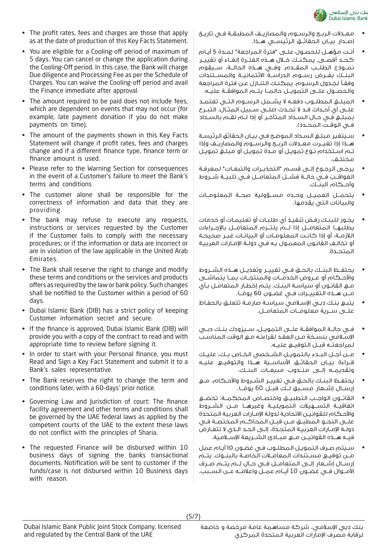

- The profit rates, fees and charges are those that apply as at the date of production of this Key Facts Statement.
- You are eligible for a Cooling-off period of maximum of 5 days. You can cancel or change the application during the Cooling-Off period. In this case, the Bank will charge Due diligence and Processing Fee as per the Schedule of Charges. You can waive the Cooling-off period and avail the Finance immediate after approval.
- The amount required to be paid does not include fees, which are dependent on events that may not occur (for example, late payment donation if you do not make payments on time).
- The amount of the payments shown in this Key Facts Statement will change if profit rates, fees and charges change and if a different finance type, finance term or finance amount is used.
- Please refer to the Warning Section for consequences in the event of a Customer's failure to meet the Bank's terms and conditions
- The customer alone shall be responsible for the correctness of information and data that they are providing.
- The bank may refuse to execute any requests, instructions or services requested by the Customer if the Customer fails to comply with the necessary procedures; or if the information or data are incorrect or are in violation of the law applicable in the United Arab Emirates.
- The Bank shall reserve the right to change and modify these terms and conditions or the services and products offers as required by the law or bank policy. Such changes shall be notified to the Customer within a period of 60 days.
- Dubai Islamic Bank (DIB) has a strict policy of keeping Customer information secret and secure.
- If the finance is approved, Dubai Islamic Bank (DIB) will provide you with a copy of the contract to read and with appropriate time to review before signing it.
- In order to start with your Personal finance, you must Read and Sign a Key Fact Statement and submit it to a Bank's sales representative.
- The Bank reserves the right to change the term and conditions later, with a 60-days' prior notice.
- Governing Law and Jurisdiction of court: The finance facility agreement and other terms and conditions shall be governed by the UAE federal laws as applied by the competent courts of the UAE to the extent these laws do not conflict with the principles of Sharia.
- The requested Finance will be disbursed within 10 business days of signing the banks transactional documents. Notification will be sent to customer if the funds/case is not disbursed within 10 Business days with reason.
- معــدالت الربــح والرســوم والمصاريــف المطبقــة فــي تاريــخ إصــدار بيــان الحقائــق الرئيســي هــذا.
- أنـت مؤهـل للحصـول علـى "فترة المراجعة" لمـدة 5 أيـام كحــد أقصــى. يمكنــك خــال هــذه الفتــرة إلغــاء أو تغييــر نمــوذج الطلــب المقــدم. وفــي هــذه الحالــة، ســيقوم البنــك بفــرض رســوم الدراســة االئتمانيــة والمســتندات وفقـا لجـدول الرسـوم. يمكنـك التنـازل عـن فترة المراجعة والحصــول علــى التمويــل حالمــا يتــم الموافقــة عليــه.
- المبلــغ المطلــوب دفعــه ال يشــمل الرســوم التــي تعتمــد علــى أي أحــداث قــد ال تحــدث )علــى ســبيل المثــال، التبــرع بمبلـغ فـي حـال السـداد المتأخـر أو إذا لـم تقـم بالسـداد فــي الـوقــت الـمـصــدد).
- سـيتغير مبلـغ السـداد الموضـح فـي بيـان الحقائق الرئيسـة هــذا إذا تغيــرت معــدالت الربــح والرســوم والمصاريــف وإذا تـم اسـتخدام نـوع تمويـل أو مـدة تمويـل أو مبلـغ تمويـل مختلــف.
- يرجـى الرجـوع إلـى قسـم "التحذيـرات والتبعـات" لمعرفـة العواقــب فــي حالــة فشــل المتعامــل فــي تلبيــة شــروط وأحــكام البنــك.
- يتحمــل العميــل وحــده مســؤولية صحــة المعلومــات والبيانات التي يقدمها.
- يجـوز للبنـك رفـض تنفيـذ أي طلبـات أو تعليمـات أو خدمات يطلبهــا المتعامــل إذا لــم يلتــزم المتعامــل باإلجــراءات الالزمـة، أو إذا كانـت المعلومـات أو البيانـات غيـر صحيحـة أو تخالـف القانـون المعمـول بـه فـي دولـة اإلمـارات العربيـة المتحــدة.
- يحتفــظ البنــك بالحــق فــي تغييــر وتعديــل هــذه الشــروط والأحــكام أو عــروض الخدمــات والـمنتحــات بمــا يتماشــى مـع القانـون أو سياسـة البنـك. يتـم إخطـار المتعامـل بـأي مــن هــذه التغييــرات فــى غضــون 60 يومُــا. ً
- يتبـع بنـك دبـي اإلسـامي سياسـة صارمـة تتعلـق بالحفـاظ علــى ســرية معلومــات المتعامــل.
- فــي حالــة الموافقــة علــى التمويــل، ســيزودك بنــك دبــي اإلسـامي بنسـخة مـن العقـد لقراءتـه مـع الوقت المناسـب لمراجعتــه قبــل التوقيــع عليــه.
- مــن أجــل البــدء بالتمويــل الشــخصي الخــاص بــك، عليــك قــراءة بيــان الحقائــق األساســية هــذا والتوقيــع عليــه وتقديمــه إلــى منــدوب مبيعــات البنــك.
- يحتفــظ البنــك بالحــق فــي تغييــر الشــروط واألحــكام، مــع إرســال إشــعار مســبق لــك قبــل 60 يومُــا. ً
- القانــون الواجــب التطبيــق واختصــاص المحكمــة: تخضــع اتفاقيــة التســهيالت التمويليــة وغيرهــا مــن الشــروط واألحـكام للقوانيـن االتحادية لدولة اإلمـارات العربية المتحدة علــى النحــو المطبــق مــن قبــل المحاكــم المختصــة فــي دولـة اإلمـارات العربيـة المتحـدة، إلـى الحـد الـذي ال تتعـارض فيــه هــذه القوانيــن مــع مبــادئ الشــريعة اإلســامية.
- سـيتم صـرف التمويـل المطلـوب فـي غضـون 10 أيـام عمل مــن توقيــع مســتندات المعامــات الخاصــة بالبنــوك. يتــم إرســال إشــعار إلــى المتعامــل فــي حــال لــم يتــم صــرف األمــوال فــي غضــون 10 أيــام عمــل واعالمــه عــن الســبب.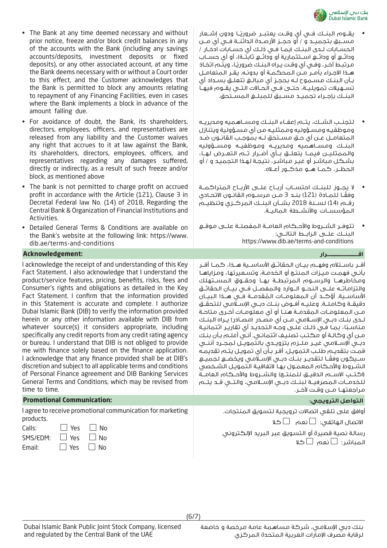

- يقـــوم الـبنــك فــي أيٍ وقــت يعتبـــر ضرورِيـًـا ودون ٍاشـــعار مســبق بتجميــد و / أو حجــز األرصــدة الدائنــة فــي أي مــن الحسـابات لـدى البنـك )بمـا فـي ذلـك أي حسـابات ادخـار / ودائــع أو ودائــع اســـتثمارية أو ودائــع ثابتــة)، أو أي حســاب مرتبـط آخـر ، وفـي أي وقـت يـراه البِنـك ضروريًـا ، ويتـم اتخـاذ هـذا االجـراء بأمـر مـن المحكمـة أو بدونـه. يقـر المتعامـل بـأن البنـك مسـموح لـه بحجـز أي مبالـغ تتعلـق بسـداد أي تســهيالت تمويليــة، حتــى فــي الحــاالت التــي يقــوم فيهــا البنــك بإجــراء تجميــد مســبق للمبلــغ المســتحق.
- لتجنــب الشــك، يتــم إعفــاء البنــك ومســاهميه ومديريــه وموظفيـه ومسـؤوليه وممثليـه من أي مسـؤولية ويتنازل المتعامــل عــن أي حــق مســتحق لــه بموجــب القانــون ضــد البنــك ومســاهميه ومديريــه وموظفيــه ومســؤوليه والممثليــن فيمــا يتعلــق بــأي أضــرار تــم التعــرض لهــا، بشـكل مباشـر أو غيـر مباشـر، نتيجـة لهـذا التجميـد و / أو الحظــر، كمــا هــو مذكــور أعــاه.
- ال يجــوز للبنــك احتســاب أربــاح علــى األربــاح المتراكمــة وفقًــا للمــادة (121) بنــد 3 مــن مرســوم القانــون الاتحــادي رقــم (14) لســنة 2018 بشــأن البنــك المركــزي وتنظيــم المؤسســات واألنشــطة الماليــة.
- تتوفــر الشــروط واألحــكام العامــة المفصلــة علــى موقــع البنــك علــى الرابــط التالــي: https://www.dib.ae/terms-and-conditions

أقــر باســتالم وفهــم بيــان الحقائــق األساســية هــذا، كمــا أقــر بأنـي فهمـت ميـزات المنتـج أو الخدمـة، وتسـعيرتها، ومزاياهـا ومخاطرهــا والرســوم المرتبطــة بهــا وحقــوق المســتهلك والتزاماتــه علــى النحــو الــوارد والمفصــل فــي بيــان الحقائــق األساســية. أؤكــد أن المعلومــات المقدمــة فــي هــذا البيــان دقيقــة وكاملــة. وعليــه أفــوض بنــك دبــي اإلســامي للتحقــق ُ مـن المعلومـات المقدمـة هنـا أو أي معلومـات أخـرى متاحـة لــدى بنــك دبــي اإلســامي مــن أي مصــدر )مصــادر( يــراه البنــك مناسـباً، بمـا فـي ذلـك علـى وجـه التحديـد أي تقاريـر ائتمانيـة مـن أي وكالـة أو مكتـب تصنيـف ائتمانـي. أنـي أعلـم بـأن بنـك دبــي اإلســامي غيــر ملــزم بتزويــدي بالتمويــل لمجــرد أننــي قمـت بتقديـم طلـب التمويـل. أقـر بـأن أي تمويـل يتـم تقديمـه ً ســيكون وفقــا لتقديــر بنــك دبــي اإلســامي ويخضــع لجميــع الشـروط والأحـكام المعمـول بهـا التفاقيـة التمويـل الشـخصي )اكتــب االســم الدقيــق للمنتــج( والشــروط واألحــكام العامــة للخدمــات المصرفيــة لبنــك دبــي اإلســامي، والتــي قــد يتــم مراجعتهــا مــن وقــت آلخــر.

أوافق على تلقي اتصاالت ترويجية لتسويق المنتجات. الاتصال الهاتفى:  $\square$  نعم  $\square$  كلا رسالة نصية قصيرة أو التسويق عبر البريد اإللكتروني المباشر:  $\square$ نعم  $\square$  كلا

- The Bank at any time deemed necessary and without prior notice, freeze and/or block credit balances in any of the accounts with the Bank (including any savings accounts/deposits, investment deposits or fixed deposits), or any other associated account, at any time the Bank deems necessary with or without a Court order to this effect, and the Customer acknowledges that the Bank is permitted to block any amounts relating to repayment of any Financing Facilities, even in cases where the Bank implements a block in advance of the amount falling due.
- For avoidance of doubt, the Bank, its shareholders, directors, employees, officers, and representatives are released from any liability and the Customer waives any right that accrues to it at law against the Bank, its shareholders, directors, employees, officers, and representatives regarding any damages suffered, directly or indirectly, as a result of such freeze and/or block, as mentioned above
- The bank is not permitted to charge profit on accrued profit in accordance with the Article (121), Clause 3 in Decretal Federal law No. (14) of 2018, Regarding the Central Bank & Organization of Financial Institutions and Activities.
- Detailed General Terms & Conditions are available on the Bank's website at the following link: https://www. dib.ae/terms-and-conditions

### **اقـــــــــــــــــــــــــــــرار :Acknowledgement**

I acknowledge the receipt of and understanding of this Key Fact Statement. I also acknowledge that I understand the product/service features, pricing, benefits, risks, fees and Consumer's rights and obligations as detailed in the Key Fact Statement. I confirm that the information provided in this Statement is accurate and complete. I authorize Dubai Islamic Bank (DIB) to verify the information provided herein or any other information available with DIB from whatever source(s) it considers appropriate, including specifically any credit reports from any credit rating agency or bureau. I understand that DIB is not obliged to provide me with finance solely based on the finance application. I acknowledge that any finance provided shall be at DIB's discretion and subject to all applicable terms and conditions of Personal Finance agreement and DIB Banking Services General Terms and Conditions, which may be revised from time to time.

### **التواصل الترويجي: :Communication Promotional**

I agree to receive promotional communication for marketing products.

| Calls:                      | $\Box$ Yes $\Box$ No |  |
|-----------------------------|----------------------|--|
| $SMS/EDM: \Box Yes \Box No$ |                      |  |
| Email:                      | $\Box$ Yes $\Box$ No |  |